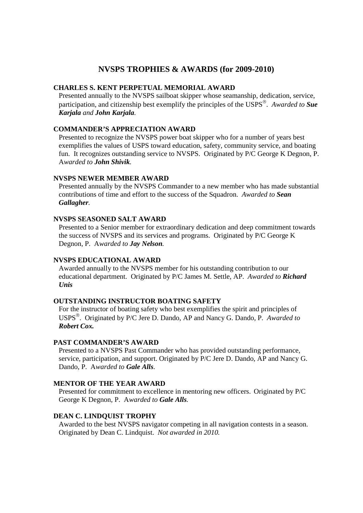# **NVSPS TROPHIES & AWARDS (for 2009-2010)**

### **CHARLES S. KENT PERPETUAL MEMORIAL AWARD**

Presented annually to the NVSPS sailboat skipper whose seamanship, dedication, service, participation, and citizenship best exemplify the principles of the USPS . *Awarded to Sue Karjala and John Karjala.* 

### **COMMANDER'S APPRECIATION AWARD**

Presented to recognize the NVSPS power boat skipper who for a number of years best exemplifies the values of USPS toward education, safety, community service, and boating fun. It recognizes outstanding service to NVSPS. Originated by P/C George K Degnon, P. A*warded to John Shivik.* 

### **NVSPS NEWER MEMBER AWARD**

Presented annually by the NVSPS Commander to a new member who has made substantial contributions of time and effort to the success of the Squadron. *Awarded to Sean Gallagher.* 

#### **NVSPS SEASONED SALT AWARD**

Presented to a Senior member for extraordinary dedication and deep commitment towards the success of NVSPS and its services and programs. Originated by P/C George K Degnon, P. A*warded to Jay Nelson.* 

#### **NVSPS EDUCATIONAL AWARD**

Awarded annually to the NVSPS member for his outstanding contribution to our educational department. Originated by P/C James M. Settle, AP. *Awarded to Richard Unis*

#### **OUTSTANDING INSTRUCTOR BOATING SAFETY**

For the instructor of boating safety who best exemplifies the spirit and principles of USPS . Originated by P/C Jere D. Dando, AP and Nancy G. Dando, P. *Awarded to Robert Cox.* 

#### **PAST COMMANDER'S AWARD**

Presented to a NVSPS Past Commander who has provided outstanding performance, service, participation, and support. Originated by P/C Jere D. Dando, AP and Nancy G. Dando, P. A*warded to Gale Alls.* 

### **MENTOR OF THE YEAR AWARD**

Presented for commitment to excellence in mentoring new officers. Originated by P/C George K Degnon, P. A*warded to Gale Alls.* 

#### **DEAN C. LINDQUIST TROPHY**

Awarded to the best NVSPS navigator competing in all navigation contests in a season. Originated by Dean C. Lindquist. *Not awarded in 2010.*